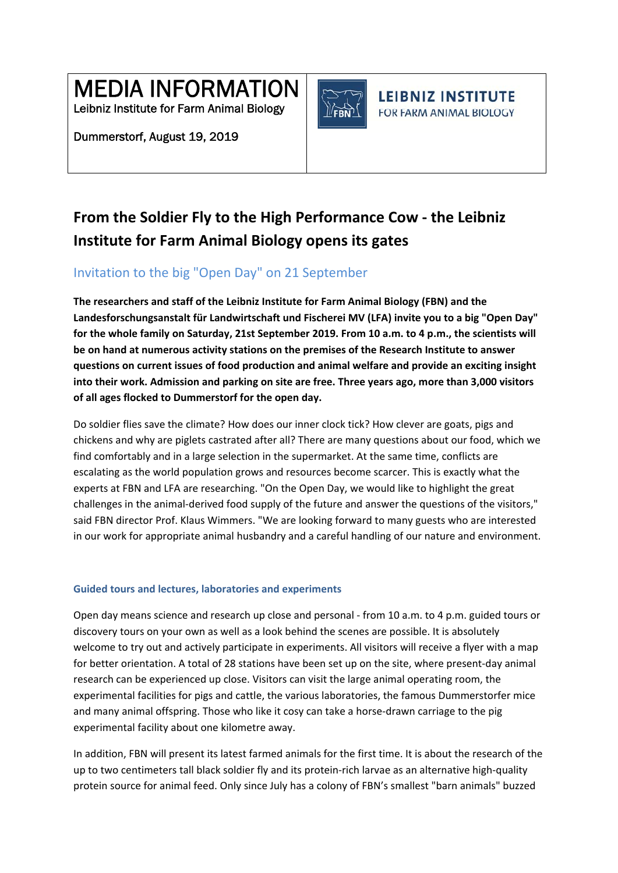MEDIA INFORMATION

Leibniz Institute for Farm Animal Biology

Dummerstorf, August 19, 2019



**LEIBNIZ INSTITUTE** FOR FARM ANIMAL BIOLOGY

# **From the Soldier Fly to the High Performance Cow ‐ the Leibniz Institute for Farm Animal Biology opens its gates**

# Invitation to the big "Open Day" on 21 September

**The researchers and staff of the Leibniz Institute for Farm Animal Biology (FBN) and the Landesforschungsanstalt für Landwirtschaft und Fischerei MV (LFA) invite you to a big "Open Day" for the whole family on Saturday, 21st September 2019. From 10 a.m. to 4 p.m., the scientists will be on hand at numerous activity stations on the premises of the Research Institute to answer questions on current issues of food production and animal welfare and provide an exciting insight into their work. Admission and parking on site are free. Three years ago, more than 3,000 visitors of all ages flocked to Dummerstorf for the open day.** 

Do soldier flies save the climate? How does our inner clock tick? How clever are goats, pigs and chickens and why are piglets castrated after all? There are many questions about our food, which we find comfortably and in a large selection in the supermarket. At the same time, conflicts are escalating as the world population grows and resources become scarcer. This is exactly what the experts at FBN and LFA are researching. "On the Open Day, we would like to highlight the great challenges in the animal-derived food supply of the future and answer the questions of the visitors," said FBN director Prof. Klaus Wimmers. "We are looking forward to many guests who are interested in our work for appropriate animal husbandry and a careful handling of our nature and environment.

## **Guided tours and lectures, laboratories and experiments**

Open day means science and research up close and personal ‐ from 10 a.m. to 4 p.m. guided tours or discovery tours on your own as well as a look behind the scenes are possible. It is absolutely welcome to try out and actively participate in experiments. All visitors will receive a flyer with a map for better orientation. A total of 28 stations have been set up on the site, where present-day animal research can be experienced up close. Visitors can visit the large animal operating room, the experimental facilities for pigs and cattle, the various laboratories, the famous Dummerstorfer mice and many animal offspring. Those who like it cosy can take a horse-drawn carriage to the pig experimental facility about one kilometre away.

In addition, FBN will present its latest farmed animals for the first time. It is about the research of the up to two centimeters tall black soldier fly and its protein‐rich larvae as an alternative high‐quality protein source for animal feed. Only since July has a colony of FBN's smallest "barn animals" buzzed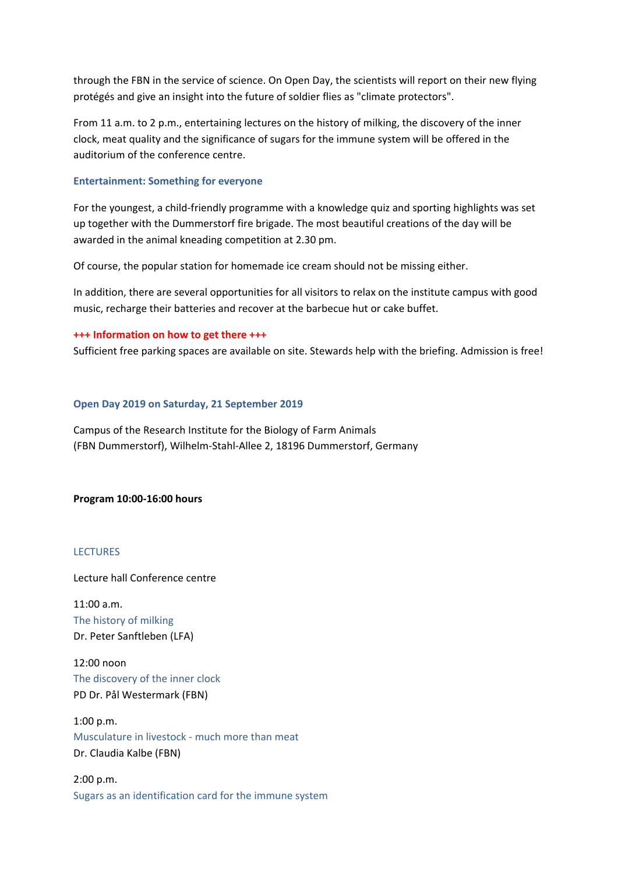through the FBN in the service of science. On Open Day, the scientists will report on their new flying protégés and give an insight into the future of soldier flies as "climate protectors".

From 11 a.m. to 2 p.m., entertaining lectures on the history of milking, the discovery of the inner clock, meat quality and the significance of sugars for the immune system will be offered in the auditorium of the conference centre.

#### **Entertainment: Something for everyone**

For the youngest, a child‐friendly programme with a knowledge quiz and sporting highlights was set up together with the Dummerstorf fire brigade. The most beautiful creations of the day will be awarded in the animal kneading competition at 2.30 pm.

Of course, the popular station for homemade ice cream should not be missing either.

In addition, there are several opportunities for all visitors to relax on the institute campus with good music, recharge their batteries and recover at the barbecue hut or cake buffet.

#### **+++ Information on how to get there +++**

Sufficient free parking spaces are available on site. Stewards help with the briefing. Admission is free!

#### **Open Day 2019 on Saturday, 21 September 2019**

Campus of the Research Institute for the Biology of Farm Animals (FBN Dummerstorf), Wilhelm‐Stahl‐Allee 2, 18196 Dummerstorf, Germany

#### **Program 10:00‐16:00 hours**

#### **LECTURES**

Lecture hall Conference centre

11:00 a.m. The history of milking Dr. Peter Sanftleben (LFA)

12:00 noon The discovery of the inner clock PD Dr. Pål Westermark (FBN)

1:00 p.m. Musculature in livestock ‐ much more than meat Dr. Claudia Kalbe (FBN)

2:00 p.m. Sugars as an identification card for the immune system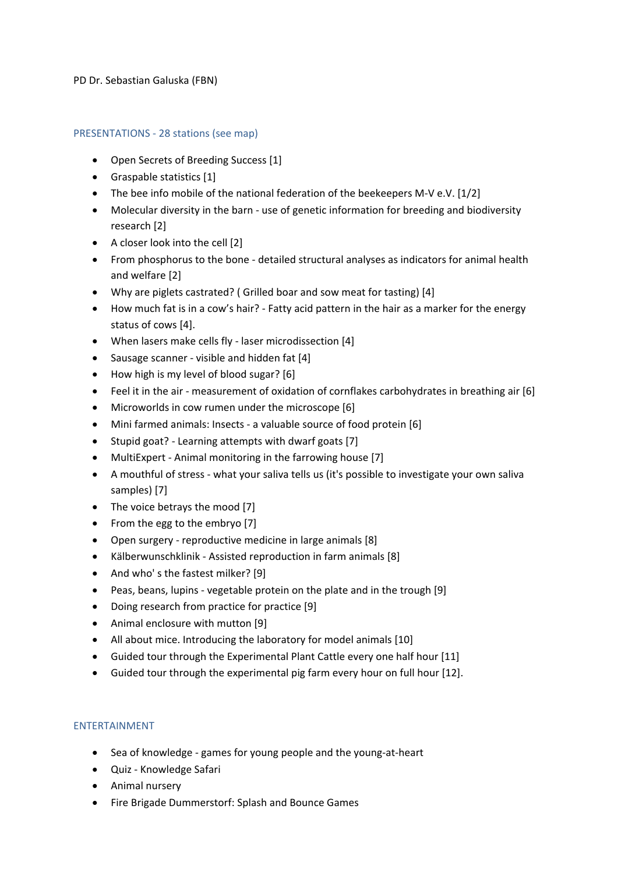#### PD Dr. Sebastian Galuska (FBN)

#### PRESENTATIONS ‐ 28 stations (see map)

- Open Secrets of Breeding Success [1]
- Graspable statistics [1]
- The bee info mobile of the national federation of the beekeepers M-V e.V. [1/2]
- Molecular diversity in the barn ‐ use of genetic information for breeding and biodiversity research [2]
- A closer look into the cell [2]
- From phosphorus to the bone ‐ detailed structural analyses as indicators for animal health and welfare [2]
- Why are piglets castrated? ( Grilled boar and sow meat for tasting) [4]
- How much fat is in a cow's hair? Fatty acid pattern in the hair as a marker for the energy status of cows [4].
- When lasers make cells fly laser microdissection [4]
- Sausage scanner visible and hidden fat [4]
- How high is my level of blood sugar? [6]
- Feel it in the air ‐ measurement of oxidation of cornflakes carbohydrates in breathing air [6]
- Microworlds in cow rumen under the microscope [6]
- Mini farmed animals: Insects ‐ a valuable source of food protein [6]
- Stupid goat? Learning attempts with dwarf goats [7]
- MultiExpert Animal monitoring in the farrowing house [7]
- A mouthful of stress ‐ what your saliva tells us (it's possible to investigate your own saliva samples) [7]
- The voice betrays the mood [7]
- From the egg to the embryo [7]
- Open surgery reproductive medicine in large animals [8]
- Kälberwunschklinik ‐ Assisted reproduction in farm animals [8]
- And who's the fastest milker? [9]
- Peas, beans, lupins vegetable protein on the plate and in the trough [9]
- Doing research from practice for practice [9]
- Animal enclosure with mutton [9]
- All about mice. Introducing the laboratory for model animals [10]
- Guided tour through the Experimental Plant Cattle every one half hour [11]
- Guided tour through the experimental pig farm every hour on full hour [12].

### ENTERTAINMENT

- Sea of knowledge games for young people and the young-at-heart
- Quiz ‐ Knowledge Safari
- Animal nursery
- Fire Brigade Dummerstorf: Splash and Bounce Games